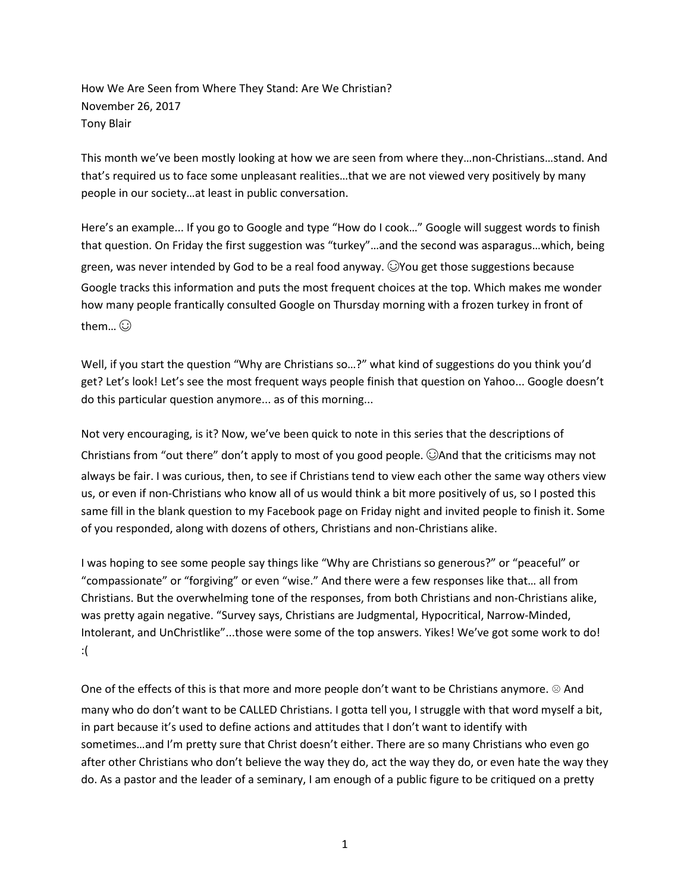How We Are Seen from Where They Stand: Are We Christian? November 26, 2017 Tony Blair

This month we've been mostly looking at how we are seen from where they…non-Christians…stand. And that's required us to face some unpleasant realities…that we are not viewed very positively by many people in our society…at least in public conversation.

Here's an example... If you go to Google and type "How do I cook…" Google will suggest words to finish that question. On Friday the first suggestion was "turkey"…and the second was asparagus…which, being green, was never intended by God to be a real food anyway. ☺You get those suggestions because Google tracks this information and puts the most frequent choices at the top. Which makes me wonder how many people frantically consulted Google on Thursday morning with a frozen turkey in front of them... $\odot$ 

Well, if you start the question "Why are Christians so…?" what kind of suggestions do you think you'd get? Let's look! Let's see the most frequent ways people finish that question on Yahoo... Google doesn't do this particular question anymore... as of this morning...

Not very encouraging, is it? Now, we've been quick to note in this series that the descriptions of Christians from "out there" don't apply to most of you good people. ☺And that the criticisms may not always be fair. I was curious, then, to see if Christians tend to view each other the same way others view us, or even if non-Christians who know all of us would think a bit more positively of us, so I posted this same fill in the blank question to my Facebook page on Friday night and invited people to finish it. Some of you responded, along with dozens of others, Christians and non-Christians alike.

I was hoping to see some people say things like "Why are Christians so generous?" or "peaceful" or "compassionate" or "forgiving" or even "wise." And there were a few responses like that… all from Christians. But the overwhelming tone of the responses, from both Christians and non-Christians alike, was pretty again negative. "Survey says, Christians are Judgmental, Hypocritical, Narrow-Minded, Intolerant, and UnChristlike"...those were some of the top answers. Yikes! We've got some work to do! :(

One of the effects of this is that more and more people don't want to be Christians anymore. ☺ And many who do don't want to be CALLED Christians. I gotta tell you, I struggle with that word myself a bit, in part because it's used to define actions and attitudes that I don't want to identify with sometimes…and I'm pretty sure that Christ doesn't either. There are so many Christians who even go after other Christians who don't believe the way they do, act the way they do, or even hate the way they do. As a pastor and the leader of a seminary, I am enough of a public figure to be critiqued on a pretty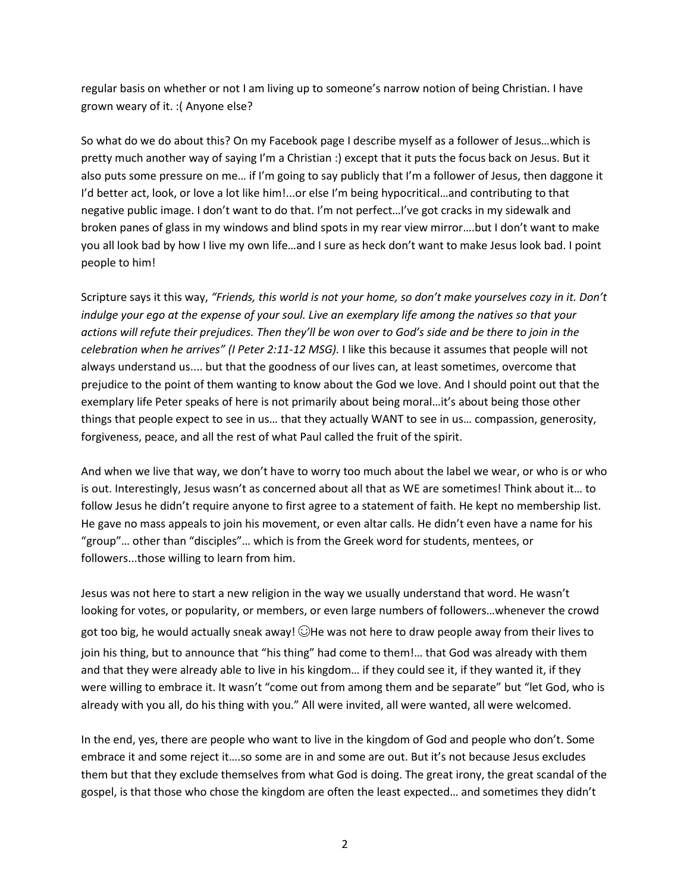regular basis on whether or not I am living up to someone's narrow notion of being Christian. I have grown weary of it. :( Anyone else?

So what do we do about this? On my Facebook page I describe myself as a follower of Jesus…which is pretty much another way of saying I'm a Christian :) except that it puts the focus back on Jesus. But it also puts some pressure on me… if I'm going to say publicly that I'm a follower of Jesus, then daggone it I'd better act, look, or love a lot like him!...or else I'm being hypocritical…and contributing to that negative public image. I don't want to do that. I'm not perfect…I've got cracks in my sidewalk and broken panes of glass in my windows and blind spots in my rear view mirror….but I don't want to make you all look bad by how I live my own life…and I sure as heck don't want to make Jesus look bad. I point people to him!

Scripture says it this way, "Friends, this world is not your home, so don't make yourselves cozy in it. Don't indulge your ego at the expense of your soul. Live an exemplary life among the natives so that your actions will refute their prejudices. Then they'll be won over to God's side and be there to join in the *celebration when he arrives" (I Peter 2:11-12 MSG).* I like this because it assumes that people will not always understand us.... but that the goodness of our lives can, at least sometimes, overcome that prejudice to the point of them wanting to know about the God we love. And I should point out that the exemplary life Peter speaks of here is not primarily about being moral…it's about being those other things that people expect to see in us… that they actually WANT to see in us… compassion, generosity, forgiveness, peace, and all the rest of what Paul called the fruit of the spirit.

And when we live that way, we don't have to worry too much about the label we wear, or who is or who is out. Interestingly, Jesus wasn't as concerned about all that as WE are sometimes! Think about it… to follow Jesus he didn't require anyone to first agree to a statement of faith. He kept no membership list. He gave no mass appeals to join his movement, or even altar calls. He didn't even have a name for his "group"… other than "disciples"… which is from the Greek word for students, mentees, or followers...those willing to learn from him.

Jesus was not here to start a new religion in the way we usually understand that word. He wasn't looking for votes, or popularity, or members, or even large numbers of followers…whenever the crowd got too big, he would actually sneak away!  $\bigcirc$ He was not here to draw people away from their lives to join his thing, but to announce that "his thing" had come to them!… that God was already with them and that they were already able to live in his kingdom… if they could see it, if they wanted it, if they were willing to embrace it. It wasn't "come out from among them and be separate" but "let God, who is already with you all, do his thing with you." All were invited, all were wanted, all were welcomed.

In the end, yes, there are people who want to live in the kingdom of God and people who don't. Some embrace it and some reject it….so some are in and some are out. But it's not because Jesus excludes them but that they exclude themselves from what God is doing. The great irony, the great scandal of the gospel, is that those who chose the kingdom are often the least expected… and sometimes they didn't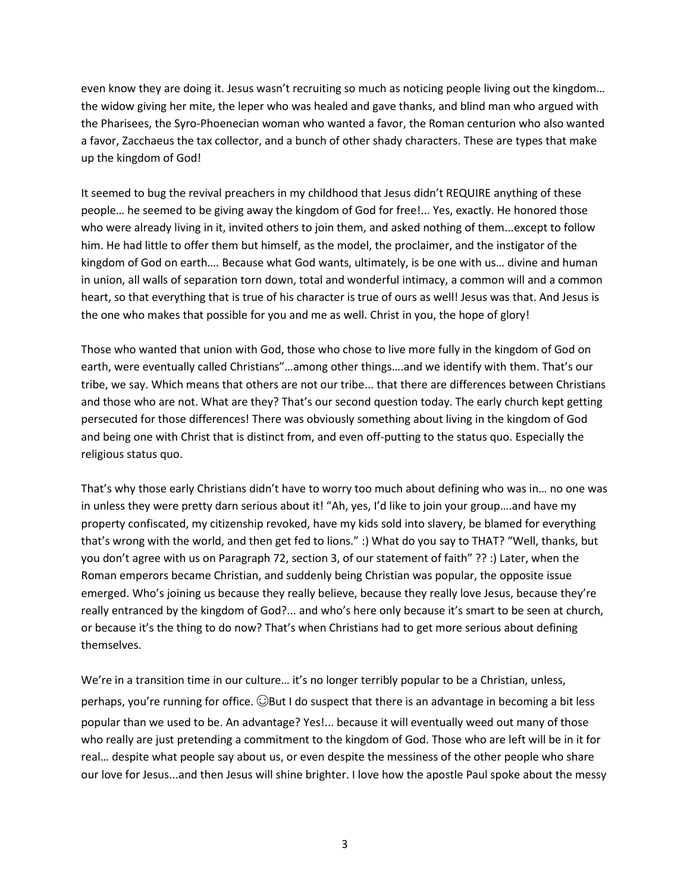even know they are doing it. Jesus wasn't recruiting so much as noticing people living out the kingdom… the widow giving her mite, the leper who was healed and gave thanks, and blind man who argued with the Pharisees, the Syro-Phoenecian woman who wanted a favor, the Roman centurion who also wanted a favor, Zacchaeus the tax collector, and a bunch of other shady characters. These are types that make up the kingdom of God!

It seemed to bug the revival preachers in my childhood that Jesus didn't REQUIRE anything of these people… he seemed to be giving away the kingdom of God for free!... Yes, exactly. He honored those who were already living in it, invited others to join them, and asked nothing of them...except to follow him. He had little to offer them but himself, as the model, the proclaimer, and the instigator of the kingdom of God on earth…. Because what God wants, ultimately, is be one with us… divine and human in union, all walls of separation torn down, total and wonderful intimacy, a common will and a common heart, so that everything that is true of his character is true of ours as well! Jesus was that. And Jesus is the one who makes that possible for you and me as well. Christ in you, the hope of glory!

Those who wanted that union with God, those who chose to live more fully in the kingdom of God on earth, were eventually called Christians"…among other things….and we identify with them. That's our tribe, we say. Which means that others are not our tribe... that there are differences between Christians and those who are not. What are they? That's our second question today. The early church kept getting persecuted for those differences! There was obviously something about living in the kingdom of God and being one with Christ that is distinct from, and even off-putting to the status quo. Especially the religious status quo.

That's why those early Christians didn't have to worry too much about defining who was in… no one was in unless they were pretty darn serious about it! "Ah, yes, I'd like to join your group….and have my property confiscated, my citizenship revoked, have my kids sold into slavery, be blamed for everything that's wrong with the world, and then get fed to lions." :) What do you say to THAT? "Well, thanks, but you don't agree with us on Paragraph 72, section 3, of our statement of faith" ?? :) Later, when the Roman emperors became Christian, and suddenly being Christian was popular, the opposite issue emerged. Who's joining us because they really believe, because they really love Jesus, because they're really entranced by the kingdom of God?... and who's here only because it's smart to be seen at church, or because it's the thing to do now? That's when Christians had to get more serious about defining themselves.

We're in a transition time in our culture... it's no longer terribly popular to be a Christian, unless, perhaps, you're running for office.  $\bigcirc$ But I do suspect that there is an advantage in becoming a bit less popular than we used to be. An advantage? Yes!... because it will eventually weed out many of those who really are just pretending a commitment to the kingdom of God. Those who are left will be in it for real… despite what people say about us, or even despite the messiness of the other people who share our love for Jesus...and then Jesus will shine brighter. I love how the apostle Paul spoke about the messy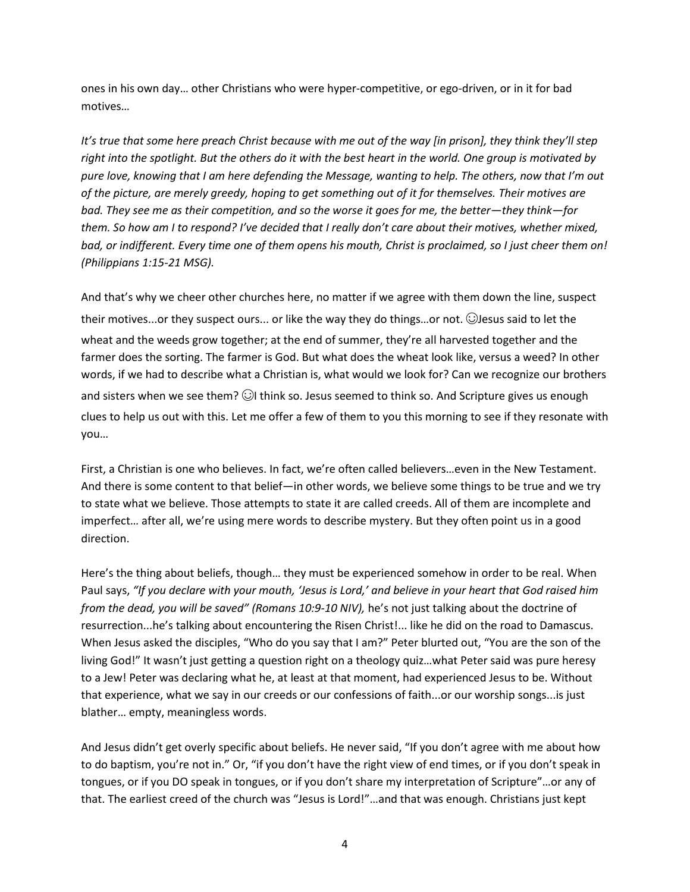ones in his own day… other Christians who were hyper-competitive, or ego-driven, or in it for bad motives…

It's true that some here preach Christ because with me out of the way [in prison], they think they'll step right into the spotlight. But the others do it with the best heart in the world. One group is motivated by pure love, knowing that I am here defending the Message, wanting to help. The others, now that I'm out of the picture, are merely areedy, hoping to get something out of it for themselves. Their motives are bad. They see me as their competition, and so the worse it goes for me, the better—they think—for them. So how am I to respond? I've decided that I really don't care about their motives, whether mixed, bad, or indifferent. Every time one of them opens his mouth, Christ is proclaimed, so I just cheer them on! *(Philippians 1:15-21 MSG).*

And that's why we cheer other churches here, no matter if we agree with them down the line, suspect their motives...or they suspect ours... or like the way they do things…or not. ☺Jesus said to let the wheat and the weeds grow together; at the end of summer, they're all harvested together and the farmer does the sorting. The farmer is God. But what does the wheat look like, versus a weed? In other words, if we had to describe what a Christian is, what would we look for? Can we recognize our brothers and sisters when we see them?  $\odot$ I think so. Jesus seemed to think so. And Scripture gives us enough clues to help us out with this. Let me offer a few of them to you this morning to see if they resonate with you…

First, a Christian is one who believes. In fact, we're often called believers…even in the New Testament. And there is some content to that belief—in other words, we believe some things to be true and we try to state what we believe. Those attempts to state it are called creeds. All of them are incomplete and imperfect… after all, we're using mere words to describe mystery. But they often point us in a good direction.

Here's the thing about beliefs, though… they must be experienced somehow in order to be real. When Paul says, "If you declare with your mouth, 'Jesus is Lord,' and believe in your heart that God raised him *from the dead, you will be saved" (Romans 10:9-10 NIV),* he's not just talking about the doctrine of resurrection...he's talking about encountering the Risen Christ!... like he did on the road to Damascus. When Jesus asked the disciples, "Who do you say that I am?" Peter blurted out, "You are the son of the living God!" It wasn't just getting a question right on a theology quiz…what Peter said was pure heresy to a Jew! Peter was declaring what he, at least at that moment, had experienced Jesus to be. Without that experience, what we say in our creeds or our confessions of faith...or our worship songs...is just blather… empty, meaningless words.

And Jesus didn't get overly specific about beliefs. He never said, "If you don't agree with me about how to do baptism, you're not in." Or, "if you don't have the right view of end times, or if you don't speak in tongues, or if you DO speak in tongues, or if you don't share my interpretation of Scripture"…or any of that. The earliest creed of the church was "Jesus is Lord!"…and that was enough. Christians just kept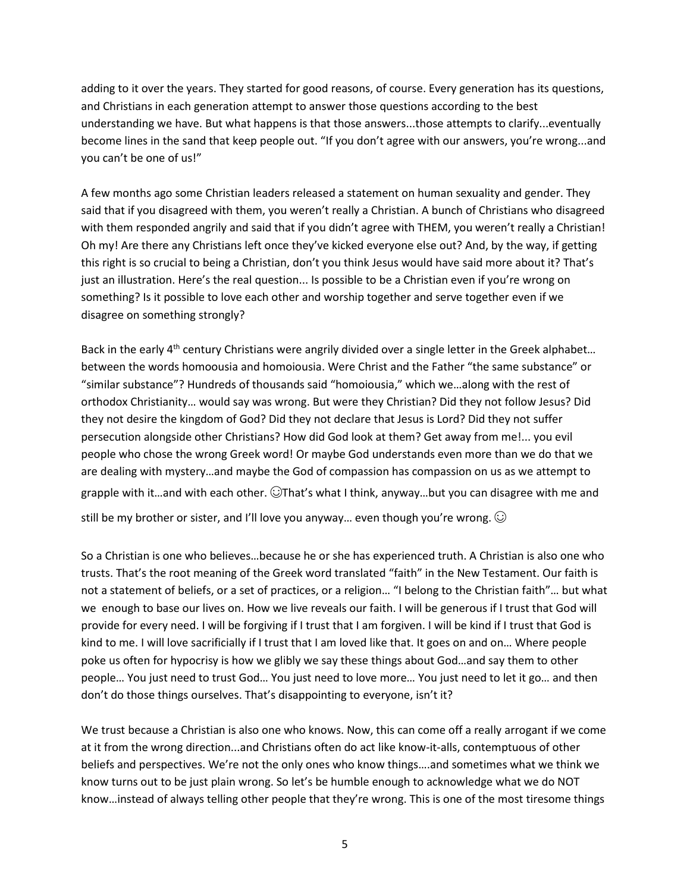adding to it over the years. They started for good reasons, of course. Every generation has its questions, and Christians in each generation attempt to answer those questions according to the best understanding we have. But what happens is that those answers...those attempts to clarify...eventually become lines in the sand that keep people out. "If you don't agree with our answers, you're wrong...and you can't be one of us!"

A few months ago some Christian leaders released a statement on human sexuality and gender. They said that if you disagreed with them, you weren't really a Christian. A bunch of Christians who disagreed with them responded angrily and said that if you didn't agree with THEM, you weren't really a Christian! Oh my! Are there any Christians left once they've kicked everyone else out? And, by the way, if getting this right is so crucial to being a Christian, don't you think Jesus would have said more about it? That's just an illustration. Here's the real question... Is possible to be a Christian even if you're wrong on something? Is it possible to love each other and worship together and serve together even if we disagree on something strongly?

Back in the early 4<sup>th</sup> century Christians were angrily divided over a single letter in the Greek alphabet... between the words homoousia and homoiousia. Were Christ and the Father "the same substance" or "similar substance"? Hundreds of thousands said "homoiousia," which we…along with the rest of orthodox Christianity… would say was wrong. But were they Christian? Did they not follow Jesus? Did they not desire the kingdom of God? Did they not declare that Jesus is Lord? Did they not suffer persecution alongside other Christians? How did God look at them? Get away from me!... you evil people who chose the wrong Greek word! Or maybe God understands even more than we do that we are dealing with mystery…and maybe the God of compassion has compassion on us as we attempt to grapple with it…and with each other.  $\bigcirc$ That's what I think, anyway…but you can disagree with me and still be my brother or sister, and I'll love you anyway... even though you're wrong.  $\odot$ 

So a Christian is one who believes…because he or she has experienced truth. A Christian is also one who trusts. That's the root meaning of the Greek word translated "faith" in the New Testament. Our faith is not a statement of beliefs, or a set of practices, or a religion… "I belong to the Christian faith"… but what we enough to base our lives on. How we live reveals our faith. I will be generous if I trust that God will provide for every need. I will be forgiving if I trust that I am forgiven. I will be kind if I trust that God is kind to me. I will love sacrificially if I trust that I am loved like that. It goes on and on… Where people poke us often for hypocrisy is how we glibly we say these things about God…and say them to other people… You just need to trust God… You just need to love more… You just need to let it go… and then don't do those things ourselves. That's disappointing to everyone, isn't it?

We trust because a Christian is also one who knows. Now, this can come off a really arrogant if we come at it from the wrong direction...and Christians often do act like know-it-alls, contemptuous of other beliefs and perspectives. We're not the only ones who know things….and sometimes what we think we know turns out to be just plain wrong. So let's be humble enough to acknowledge what we do NOT know…instead of always telling other people that they're wrong. This is one of the most tiresome things

5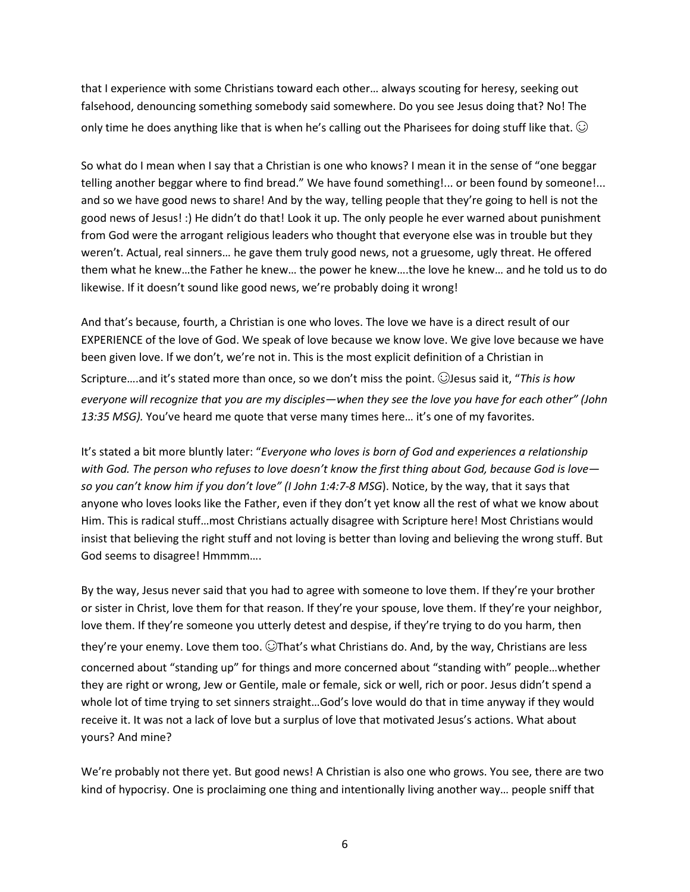that I experience with some Christians toward each other… always scouting for heresy, seeking out falsehood, denouncing something somebody said somewhere. Do you see Jesus doing that? No! The only time he does anything like that is when he's calling out the Pharisees for doing stuff like that.  $\bigcirc$ 

So what do I mean when I say that a Christian is one who knows? I mean it in the sense of "one beggar telling another beggar where to find bread." We have found something!... or been found by someone!... and so we have good news to share! And by the way, telling people that they're going to hell is not the good news of Jesus! :) He didn't do that! Look it up. The only people he ever warned about punishment from God were the arrogant religious leaders who thought that everyone else was in trouble but they weren't. Actual, real sinners… he gave them truly good news, not a gruesome, ugly threat. He offered them what he knew…the Father he knew… the power he knew….the love he knew… and he told us to do likewise. If it doesn't sound like good news, we're probably doing it wrong!

And that's because, fourth, a Christian is one who loves. The love we have is a direct result of our EXPERIENCE of the love of God. We speak of love because we know love. We give love because we have been given love. If we don't, we're not in. This is the most explicit definition of a Christian in Scripture….and it's stated more than once, so we don't miss the point. ☺Jesus said it, "*This is how* everyone will recognize that you are my disciples—when they see the love you have for each other" (John *13:35 MSG).* You've heard me quote that verse many times here… it's one of my favorites.

It's stated a bit more bluntly later: "*Everyone who loves is born of God and experiences a relationship* with God. The person who refuses to love doesn't know the first thing about God, because God is loveso you can't know him if you don't love" (I John 1:4:7-8 MSG). Notice, by the way, that it says that anyone who loves looks like the Father, even if they don't yet know all the rest of what we know about Him. This is radical stuff…most Christians actually disagree with Scripture here! Most Christians would insist that believing the right stuff and not loving is better than loving and believing the wrong stuff. But God seems to disagree! Hmmmm….

By the way, Jesus never said that you had to agree with someone to love them. If they're your brother or sister in Christ, love them for that reason. If they're your spouse, love them. If they're your neighbor, love them. If they're someone you utterly detest and despise, if they're trying to do you harm, then they're your enemy. Love them too. ☺That's what Christians do. And, by the way, Christians are less concerned about "standing up" for things and more concerned about "standing with" people…whether they are right or wrong, Jew or Gentile, male or female, sick or well, rich or poor. Jesus didn't spend a whole lot of time trying to set sinners straight…God's love would do that in time anyway if they would receive it. It was not a lack of love but a surplus of love that motivated Jesus's actions. What about yours? And mine?

We're probably not there yet. But good news! A Christian is also one who grows. You see, there are two kind of hypocrisy. One is proclaiming one thing and intentionally living another way… people sniff that